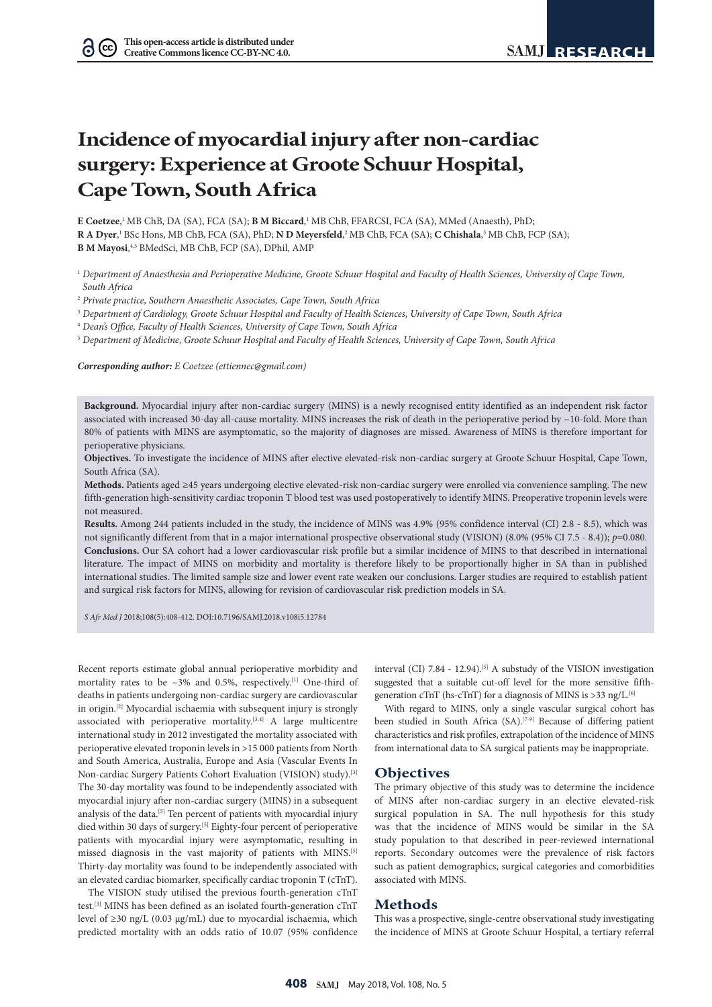# **Incidence of myocardial injury after non-cardiac surgery: Experience at Groote Schuur Hospital, Cape Town, South Africa**

**E Coetzee**, <sup>1</sup> MB ChB, DA (SA), FCA (SA); **B M Biccard**, <sup>1</sup> MB ChB, FFARCSI, FCA (SA), MMed (Anaesth), PhD; **R A Dyer**, <sup>1</sup> BSc Hons, MB ChB, FCA (SA), PhD; **N D Meyersfeld**, <sup>2</sup> MB ChB, FCA (SA); **C Chishala**, <sup>3</sup> MB ChB, FCP (SA); **B M Mayosi**, 4,5 BMedSci, MB ChB, FCP (SA), DPhil, AMP

<sup>1</sup> *Department of Anaesthesia and Perioperative Medicine, Groote Schuur Hospital and Faculty of Health Sciences, University of Cape Town, South Africa*

<sup>2</sup> *Private practice, Southern Anaesthetic Associates, Cape Town, South Africa*

<sup>3</sup> *Department of Cardiology, Groote Schuur Hospital and Faculty of Health Sciences, University of Cape Town, South Africa*

<sup>4</sup> *Dean's Office, Faculty of Health Sciences, University of Cape Town, South Africa*

<sup>5</sup> *Department of Medicine, Groote Schuur Hospital and Faculty of Health Sciences, University of Cape Town, South Africa*

*Corresponding author: E Coetzee (ettiennec@gmail.com)*

**Background.** Myocardial injury after non-cardiac surgery (MINS) is a newly recognised entity identified as an independent risk factor associated with increased 30-day all-cause mortality. MINS increases the risk of death in the perioperative period by ~10-fold. More than 80% of patients with MINS are asymptomatic, so the majority of diagnoses are missed. Awareness of MINS is therefore important for perioperative physicians.

**Objectives.** To investigate the incidence of MINS after elective elevated-risk non-cardiac surgery at Groote Schuur Hospital, Cape Town, South Africa (SA).

**Methods.** Patients aged ≥45 years undergoing elective elevated-risk non-cardiac surgery were enrolled via convenience sampling. The new fifth-generation high-sensitivity cardiac troponin T blood test was used postoperatively to identify MINS. Preoperative troponin levels were not measured.

**Results.** Among 244 patients included in the study, the incidence of MINS was 4.9% (95% confidence interval (CI) 2.8 - 8.5), which was not significantly different from that in a major international prospective observational study (VISION) (8.0% (95% CI 7.5 - 8.4)); *p*=0.080. **Conclusions.** Our SA cohort had a lower cardiovascular risk profile but a similar incidence of MINS to that described in international literature. The impact of MINS on morbidity and mortality is therefore likely to be proportionally higher in SA than in published international studies. The limited sample size and lower event rate weaken our conclusions. Larger studies are required to establish patient and surgical risk factors for MINS, allowing for revision of cardiovascular risk prediction models in SA.

*S Afr Med J* 2018;108(5):408-412. DOI:10.7196/SAMJ.2018.v108i5.12784

Recent reports estimate global annual perioperative morbidity and mortality rates to be  $\sim$ 3% and 0.5%, respectively.<sup>[1]</sup> One-third of deaths in patients undergoing non-cardiac surgery are cardiovascular in origin.[2] Myocardial ischaemia with subsequent injury is strongly associated with perioperative mortality.<sup>[3,4]</sup> A large multicentre international study in 2012 investigated the mortality associated with perioperative elevated troponin levels in >15 000 patients from North and South America, Australia, Europe and Asia (Vascular Events In Non-cardiac Surgery Patients Cohort Evaluation (VISION) study).[3] The 30-day mortality was found to be independently associated with myocardial injury after non-cardiac surgery (MINS) in a subsequent analysis of the data.<sup>[5]</sup> Ten percent of patients with myocardial injury died within 30 days of surgery.<sup>[5]</sup> Eighty-four percent of perioperative patients with myocardial injury were asymptomatic, resulting in missed diagnosis in the vast majority of patients with MINS.[5] Thirty-day mortality was found to be independently associated with an elevated cardiac biomarker, specifically cardiac troponin T (cTnT).

The VISION study utilised the previous fourth-generation cTnT test.[3] MINS has been defined as an isolated fourth-generation cTnT level of ≥30 ng/L (0.03 µg/mL) due to myocardial ischaemia, which predicted mortality with an odds ratio of 10.07 (95% confidence

interval (CI) 7.84 - 12.94).<br/> $\left[5\right]$  A substudy of the VISION investigation suggested that a suitable cut-off level for the more sensitive fifthgeneration cTnT (hs-cTnT) for a diagnosis of MINS is >33 ng/L.<sup>[6]</sup>

With regard to MINS, only a single vascular surgical cohort has been studied in South Africa (SA).<sup>[7-9]</sup> Because of differing patient characteristics and risk profiles, extrapolation of the incidence of MINS from international data to SA surgical patients may be inappropriate.

# **Objectives**

The primary objective of this study was to determine the incidence of MINS after non-cardiac surgery in an elective elevated-risk surgical population in SA. The null hypothesis for this study was that the incidence of MINS would be similar in the SA study population to that described in peer-reviewed international reports. Secondary outcomes were the prevalence of risk factors such as patient demographics, surgical categories and comorbidities associated with MINS.

# **Methods**

This was a prospective, single-centre observational study investigating the incidence of MINS at Groote Schuur Hospital, a tertiary referral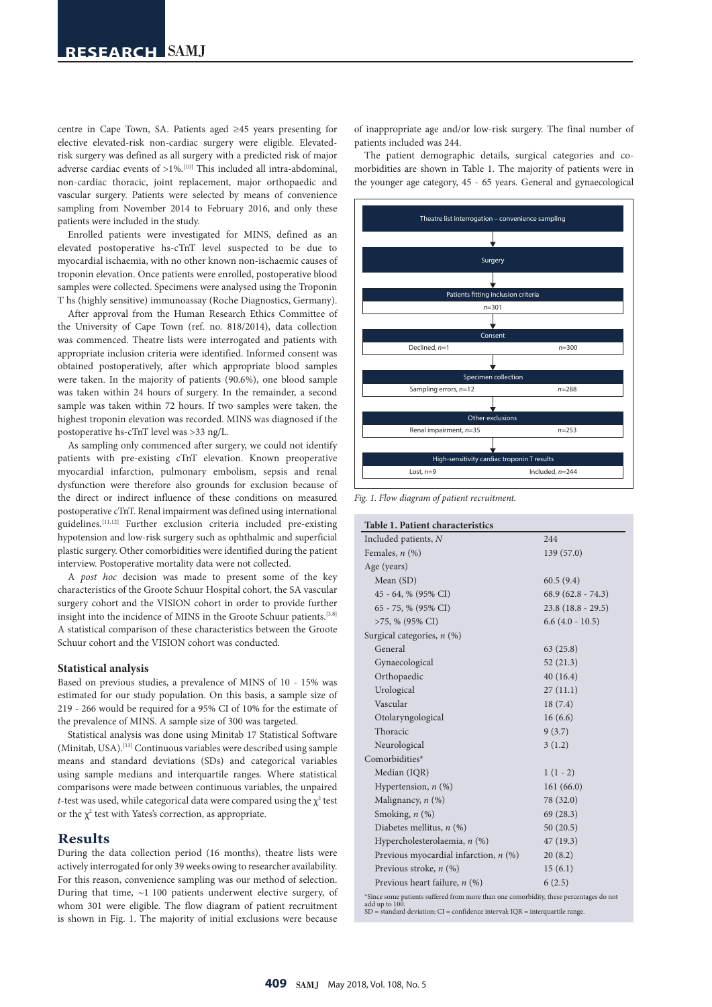centre in Cape Town, SA. Patients aged ≥45 years presenting for elective elevated-risk non-cardiac surgery were eligible. Elevatedrisk surgery was defined as all surgery with a predicted risk of major adverse cardiac events of >1%.[10] This included all intra-abdominal, non-cardiac thoracic, joint replacement, major orthopaedic and vascular surgery. Patients were selected by means of convenience sampling from November 2014 to February 2016, and only these patients were included in the study.

Enrolled patients were investigated for MINS, defined as an elevated postoperative hs-cTnT level suspected to be due to myocardial ischaemia, with no other known non-ischaemic causes of troponin elevation. Once patients were enrolled, postoperative blood samples were collected. Specimens were analysed using the Troponin T hs (highly sensitive) immunoassay (Roche Diagnostics, Germany).

After approval from the Human Research Ethics Committee of the University of Cape Town (ref. no. 818/2014), data collection was commenced. Theatre lists were interrogated and patients with appropriate inclusion criteria were identified. Informed consent was obtained postoperatively, after which appropriate blood samples were taken. In the majority of patients (90.6%), one blood sample was taken within 24 hours of surgery. In the remainder, a second sample was taken within 72 hours. If two samples were taken, the highest troponin elevation was recorded. MINS was diagnosed if the postoperative hs-cTnT level was >33 ng/L.

As sampling only commenced after surgery, we could not identify patients with pre-existing cTnT elevation. Known preoperative myocardial infarction, pulmonary embolism, sepsis and renal dysfunction were therefore also grounds for exclusion because of the direct or indirect influence of these conditions on measured postoperative cTnT. Renal impairment was defined using international guidelines.[11,12] Further exclusion criteria included pre-existing hypotension and low-risk surgery such as ophthalmic and superficial plastic surgery. Other comorbidities were identified during the patient interview. Postoperative mortality data were not collected.

A *post hoc* decision was made to present some of the key characteristics of the Groote Schuur Hospital cohort, the SA vascular surgery cohort and the VISION cohort in order to provide further insight into the incidence of MINS in the Groote Schuur patients.<sup>[3,8]</sup> A statistical comparison of these characteristics between the Groote Schuur cohort and the VISION cohort was conducted.

#### **Statistical analysis**

Based on previous studies, a prevalence of MINS of 10 - 15% was estimated for our study population. On this basis, a sample size of 219 - 266 would be required for a 95% CI of 10% for the estimate of the prevalence of MINS. A sample size of 300 was targeted.

Statistical analysis was done using Minitab 17 Statistical Software (Minitab, USA).<sup>[13]</sup> Continuous variables were described using sample means and standard deviations (SDs) and categorical variables using sample medians and interquartile ranges. Where statistical comparisons were made between continuous variables, the unpaired *t*-test was used, while categorical data were compared using the  $\chi^2$  test or the  $\chi^2$  test with Yates's correction, as appropriate.

### **Results**

During the data collection period (16 months), theatre lists were actively interrogated for only 39 weeks owing to researcher availability. For this reason, convenience sampling was our method of selection. During that time, ~1 100 patients underwent elective surgery, of whom 301 were eligible. The flow diagram of patient recruitment is shown in Fig. 1. The majority of initial exclusions were because

of inappropriate age and/or low-risk surgery. The final number of patients included was 244.

The patient demographic details, surgical categories and comorbidities are shown in Table 1. The majority of patients were in the younger age category, 45 - 65 years. General and gynaecological



*Fig. 1. Flow diagram of patient recruitment.*

| Table 1. Patient characteristics                        |                     |  |  |
|---------------------------------------------------------|---------------------|--|--|
| Included patients, N                                    | 244                 |  |  |
| Females, $n$ $(\%)$                                     | 139(57.0)           |  |  |
| Age (years)                                             |                     |  |  |
| Mean (SD)                                               | 60.5(9.4)           |  |  |
| 45 - 64, % (95% CI)                                     | $68.9(62.8 - 74.3)$ |  |  |
| 65 - 75, % (95% CI)                                     | $23.8(18.8 - 29.5)$ |  |  |
| $>75$ , % (95% CI)                                      | $6.6(4.0 - 10.5)$   |  |  |
| Surgical categories, $n$ (%)                            |                     |  |  |
| General                                                 | 63(25.8)            |  |  |
| Gynaecological                                          | 52(21.3)            |  |  |
| Orthopaedic                                             | 40(16.4)            |  |  |
| Urological                                              | 27(11.1)            |  |  |
| Vascular                                                | 18(7.4)             |  |  |
| Otolaryngological                                       | 16(6.6)             |  |  |
| Thoracic                                                | 9(3.7)              |  |  |
| Neurological                                            | 3(1.2)              |  |  |
| Comorbidities*                                          |                     |  |  |
| Median (IQR)                                            | $1(1-2)$            |  |  |
| Hypertension, $n$ (%)                                   | 161(66.0)           |  |  |
| Malignancy, $n$ (%)                                     | 78 (32.0)           |  |  |
| Smoking, $n$ $(\%)$                                     | 69(28.3)            |  |  |
| Diabetes mellitus, $n$ (%)                              | 50(20.5)            |  |  |
| Hypercholesterolaemia, n (%)                            | 47 (19.3)           |  |  |
| Previous myocardial infarction, $n$ (%)                 | 20(8.2)             |  |  |
| Previous stroke, $n$ (%)                                | 15(6.1)             |  |  |
| Previous heart failure, n (%)                           | 6(2.5)              |  |  |
| all to discovered to a construction of the construction |                     |  |  |

\*Since some patients suffered from more than one comorbidity, these percentages do not add up to 100.

f to see the second deviation; CI = confidence interval; IQR = interquartile range.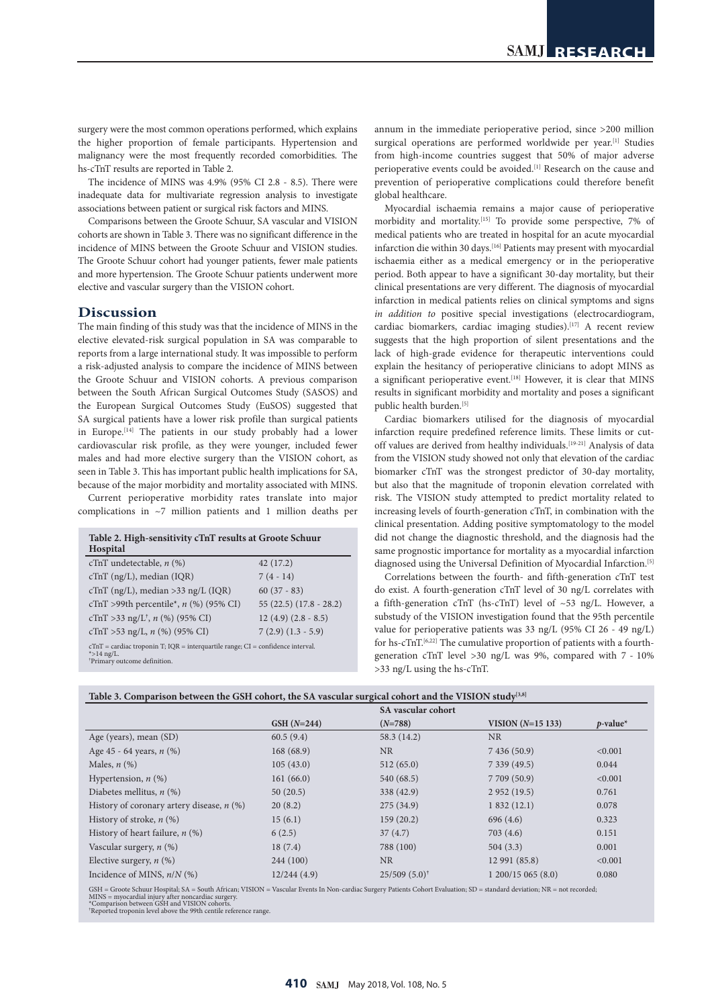surgery were the most common operations performed, which explains the higher proportion of female participants. Hypertension and malignancy were the most frequently recorded comorbidities. The hs-cTnT results are reported in Table 2.

The incidence of MINS was 4.9% (95% CI 2.8 - 8.5). There were inadequate data for multivariate regression analysis to investigate associations between patient or surgical risk factors and MINS.

Comparisons between the Groote Schuur, SA vascular and VISION cohorts are shown in Table 3. There was no significant difference in the incidence of MINS between the Groote Schuur and VISION studies. The Groote Schuur cohort had younger patients, fewer male patients and more hypertension. The Groote Schuur patients underwent more elective and vascular surgery than the VISION cohort.

#### **Discussion**

The main finding of this study was that the incidence of MINS in the elective elevated-risk surgical population in SA was comparable to reports from a large international study. It was impossible to perform a risk-adjusted analysis to compare the incidence of MINS between the Groote Schuur and VISION cohorts. A previous comparison between the South African Surgical Outcomes Study (SASOS) and the European Surgical Outcomes Study (EuSOS) suggested that SA surgical patients have a lower risk profile than surgical patients in Europe.<sup>[14]</sup> The patients in our study probably had a lower cardiovascular risk profile, as they were younger, included fewer males and had more elective surgery than the VISION cohort, as seen in Table 3. This has important public health implications for SA, because of the major morbidity and mortality associated with MINS.

Current perioperative morbidity rates translate into major complications in ~7 million patients and 1 million deaths per

| Table 2. High-sensitivity cTnT results at Groote Schuur<br><b>Hospital</b>                                                                         |                         |  |  |
|----------------------------------------------------------------------------------------------------------------------------------------------------|-------------------------|--|--|
| cTnT undetectable, $n$ (%)                                                                                                                         | 42(17.2)                |  |  |
| $cTnT$ (ng/L), median (IQR)                                                                                                                        | $7(4-14)$               |  |  |
| $cTnT$ (ng/L), median >33 ng/L (IQR)                                                                                                               | $60(37 - 83)$           |  |  |
| cTnT >99th percentile*, $n$ (%) (95% CI)                                                                                                           | $55(22.5)(17.8 - 28.2)$ |  |  |
| cTnT >33 ng/L <sup>†</sup> , n (%) (95% CI)                                                                                                        | $12(4.9)(2.8 - 8.5)$    |  |  |
| cTnT > 53 ng/L, $n$ (%) (95% CI)                                                                                                                   | $7(2.9)$ $(1.3 - 5.9)$  |  |  |
| $cTnT =$ cardiac troponin T; $IQR =$ interguartile range; $CI =$ confidence interval.<br>$*$ >14 ng/L.<br><sup>†</sup> Primary outcome definition. |                         |  |  |

annum in the immediate perioperative period, since >200 million surgical operations are performed worldwide per year.<sup>[1]</sup> Studies from high-income countries suggest that 50% of major adverse perioperative events could be avoided.<sup>[1]</sup> Research on the cause and prevention of perioperative complications could therefore benefit global healthcare.

Myocardial ischaemia remains a major cause of perioperative morbidity and mortality.[15] To provide some perspective, 7% of medical patients who are treated in hospital for an acute myocardial infarction die within 30 days.<sup>[16]</sup> Patients may present with myocardial ischaemia either as a medical emergency or in the perioperative period. Both appear to have a significant 30-day mortality, but their clinical presentations are very different. The diagnosis of myocardial infarction in medical patients relies on clinical symptoms and signs *in addition to* positive special investigations (electrocardiogram, cardiac biomarkers, cardiac imaging studies).[17] A recent review suggests that the high proportion of silent presentations and the lack of high-grade evidence for therapeutic interventions could explain the hesitancy of perioperative clinicians to adopt MINS as a significant perioperative event.<sup>[18]</sup> However, it is clear that MINS results in significant morbidity and mortality and poses a significant public health burden.<sup>[5]</sup>

Cardiac biomarkers utilised for the diagnosis of myocardial infarction require predefined reference limits. These limits or cutoff values are derived from healthy individuals.<sup>[19-21]</sup> Analysis of data from the VISION study showed not only that elevation of the cardiac biomarker cTnT was the strongest predictor of 30-day mortality, but also that the magnitude of troponin elevation correlated with risk. The VISION study attempted to predict mortality related to increasing levels of fourth-generation cTnT, in combination with the clinical presentation. Adding positive symptomatology to the model did not change the diagnostic threshold, and the diagnosis had the same prognostic importance for mortality as a myocardial infarction diagnosed using the Universal Definition of Myocardial Infarction.[5]

Correlations between the fourth- and fifth-generation cTnT test do exist. A fourth-generation cTnT level of 30 ng/L correlates with a fifth-generation cTnT (hs-cTnT) level of ~53 ng/L. However, a substudy of the VISION investigation found that the 95th percentile value for perioperative patients was 33 ng/L (95% CI 26 - 49 ng/L) for hs-cTnT.<sup>[6,22]</sup> The cumulative proportion of patients with a fourthgeneration cTnT level >30 ng/L was 9%, compared with 7 - 10% >33 ng/L using the hs-cTnT.

**Table 3. Comparison between the GSH cohort, the SA vascular surgical cohort and the VISION study[3,8]**

|                                             |              | SA vascular cohort      |                     |             |
|---------------------------------------------|--------------|-------------------------|---------------------|-------------|
|                                             | $GSH(N=244)$ | $(N=788)$               | VISION $(N=15 133)$ | $p$ -value* |
| Age (years), mean (SD)                      | 60.5(9.4)    | 58.3 (14.2)             | <b>NR</b>           |             |
| Age 45 - 64 years, $n$ (%)                  | 168(68.9)    | NR                      | 7436(50.9)          | < 0.001     |
| Males, $n$ $(\%)$                           | 105(43.0)    | 512(65.0)               | 7339(49.5)          | 0.044       |
| Hypertension, $n$ (%)                       | 161(66.0)    | 540 (68.5)              | 7 709 (50.9)        | < 0.001     |
| Diabetes mellitus, $n$ (%)                  | 50(20.5)     | 338 (42.9)              | 2952(19.5)          | 0.761       |
| History of coronary artery disease, $n$ (%) | 20(8.2)      | 275(34.9)               | 1832(12.1)          | 0.078       |
| History of stroke, $n$ (%)                  | 15(6.1)      | 159(20.2)               | 696(4.6)            | 0.323       |
| History of heart failure, $n$ (%)           | 6(2.5)       | 37(4.7)                 | 703(4.6)            | 0.151       |
| Vascular surgery, $n$ (%)                   | 18(7.4)      | 788 (100)               | 504(3.3)            | 0.001       |
| Elective surgery, $n$ (%)                   | 244(100)     | NR                      | 12 991 (85.8)       | < 0.001     |
| Incidence of MINS, $n/N$ (%)                | 12/244(4.9)  | $25/509(5.0)^{\dagger}$ | 1200/15065(8.0)     | 0.080       |

GSH = Groote Schuur Hospital; SA = South African; VISION = Vascular Events In Non-cardiac Surgery Patients Cohort Evaluation; SD = standard deviation; NR = not recorded;

MINS = myocardial injury after noncardiac surgery. \*Comparison between GSH and VISION cohorts. † Reported troponin level above the 99th centile reference range.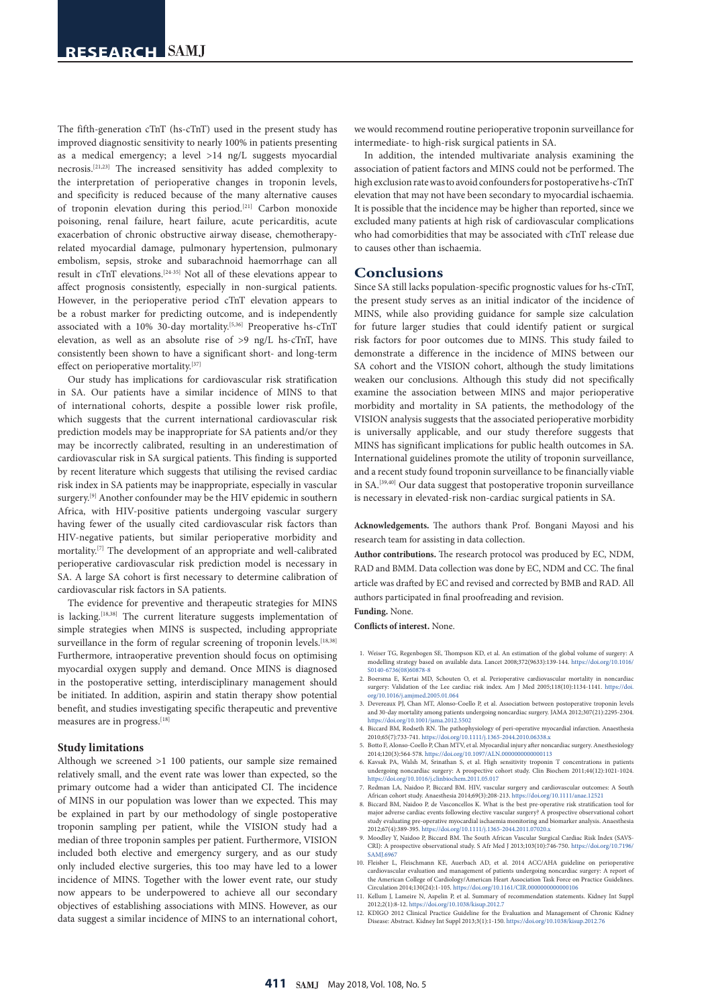The fifth-generation cTnT (hs-cTnT) used in the present study has improved diagnostic sensitivity to nearly 100% in patients presenting as a medical emergency; a level >14 ng/L suggests myocardial necrosis.[21,23] The increased sensitivity has added complexity to the interpretation of perioperative changes in troponin levels, and specificity is reduced because of the many alternative causes of troponin elevation during this period.[21] Carbon monoxide poisoning, renal failure, heart failure, acute pericarditis, acute exacerbation of chronic obstructive airway disease, chemotherapyrelated myocardial damage, pulmonary hypertension, pulmonary embolism, sepsis, stroke and subarachnoid haemorrhage can all result in cTnT elevations.[24-35] Not all of these elevations appear to affect prognosis consistently, especially in non-surgical patients. However, in the perioperative period cTnT elevation appears to be a robust marker for predicting outcome, and is independently associated with a 10% 30-day mortality.<sup>[5,36]</sup> Preoperative hs-cTnT elevation, as well as an absolute rise of >9 ng/L hs-cTnT, have consistently been shown to have a significant short- and long-term effect on perioperative mortality.[37]

Our study has implications for cardiovascular risk stratification in SA. Our patients have a similar incidence of MINS to that of international cohorts, despite a possible lower risk profile, which suggests that the current international cardiovascular risk prediction models may be inappropriate for SA patients and/or they may be incorrectly calibrated, resulting in an underestimation of cardiovascular risk in SA surgical patients. This finding is supported by recent literature which suggests that utilising the revised cardiac risk index in SA patients may be inappropriate, especially in vascular surgery.<sup>[9]</sup> Another confounder may be the HIV epidemic in southern Africa, with HIV-positive patients undergoing vascular surgery having fewer of the usually cited cardiovascular risk factors than HIV-negative patients, but similar perioperative morbidity and mortality.[7] The development of an appropriate and well-calibrated perioperative cardiovascular risk prediction model is necessary in SA. A large SA cohort is first necessary to determine calibration of cardiovascular risk factors in SA patients.

The evidence for preventive and therapeutic strategies for MINS is lacking.<sup>[18,38]</sup> The current literature suggests implementation of simple strategies when MINS is suspected, including appropriate surveillance in the form of regular screening of troponin levels.<sup>[18,38]</sup> Furthermore, intraoperative prevention should focus on optimising myocardial oxygen supply and demand. Once MINS is diagnosed in the postoperative setting, interdisciplinary management should be initiated. In addition, aspirin and statin therapy show potential benefit, and studies investigating specific therapeutic and preventive measures are in progress.<sup>[18]</sup>

#### **Study limitations**

Although we screened >1 100 patients, our sample size remained relatively small, and the event rate was lower than expected, so the primary outcome had a wider than anticipated CI. The incidence of MINS in our population was lower than we expected. This may be explained in part by our methodology of single postoperative troponin sampling per patient, while the VISION study had a median of three troponin samples per patient. Furthermore, VISION included both elective and emergency surgery, and as our study only included elective surgeries, this too may have led to a lower incidence of MINS. Together with the lower event rate, our study now appears to be underpowered to achieve all our secondary objectives of establishing associations with MINS. However, as our data suggest a similar incidence of MINS to an international cohort,

we would recommend routine perioperative troponin surveillance for intermediate- to high-risk surgical patients in SA.

In addition, the intended multivariate analysis examining the association of patient factors and MINS could not be performed. The high exclusion rate was to avoid confounders for postoperative hs-cTnT elevation that may not have been secondary to myocardial ischaemia. It is possible that the incidence may be higher than reported, since we excluded many patients at high risk of cardiovascular complications who had comorbidities that may be associated with cTnT release due to causes other than ischaemia.

## **Conclusions**

Since SA still lacks population-specific prognostic values for hs-cTnT, the present study serves as an initial indicator of the incidence of MINS, while also providing guidance for sample size calculation for future larger studies that could identify patient or surgical risk factors for poor outcomes due to MINS. This study failed to demonstrate a difference in the incidence of MINS between our SA cohort and the VISION cohort, although the study limitations weaken our conclusions. Although this study did not specifically examine the association between MINS and major perioperative morbidity and mortality in SA patients, the methodology of the VISION analysis suggests that the associated perioperative morbidity is universally applicable, and our study therefore suggests that MINS has significant implications for public health outcomes in SA. International guidelines promote the utility of troponin surveillance, and a recent study found troponin surveillance to be financially viable in SA.[39,40] Our data suggest that postoperative troponin surveillance is necessary in elevated-risk non-cardiac surgical patients in SA.

**Acknowledgements.** The authors thank Prof. Bongani Mayosi and his research team for assisting in data collection.

**Author contributions.** The research protocol was produced by EC, NDM, RAD and BMM. Data collection was done by EC, NDM and CC. The final article was drafted by EC and revised and corrected by BMB and RAD. All authors participated in final proofreading and revision.

#### **Funding.** None.

**Conflicts of interest.** None.

- 1. Weiser TG, Regenbogen SE, Thompson KD, et al. An estimation of the global volume of surgery: A modelling strategy based on available data. Lancet 2008;372(9633):139-144. [https://doi.org/10.1016/](https://doi.org/10.1016/S0140-6736(08)60878-8 ) [S0140-6736\(08\)60878-8](https://doi.org/10.1016/S0140-6736(08)60878-8 )
- 2. Boersma E, Kertai MD, Schouten O, et al. Perioperative cardiovascular mortality in noncardiac surgery: Validation of the Lee cardiac risk index. Am J Med 2005;118(10):1134-1141. [https://doi.](https://doi.org/10.1016/j.amjmed.2005.01.064 ) [org/10.1016/j.amjmed.2005.01.064](https://doi.org/10.1016/j.amjmed.2005.01.064 )
- 3. Devereaux PJ, Chan MT, Alonso-Coello P, et al. Association between postoperative troponin levels and 30-day mortality among patients undergoing noncardiac surgery. JAMA 2012;307(21):2295-2304.
- https://doi.org/10.1001/jama.2012.5502 4. Biccard BM, Rodseth RN. The pathophysiology of peri-operative myocardial infarction. Anaesthesia
- 2010;65(7):733-741. <https://doi.org/10.1111/j.1365-2044.2010.06338.x> 5. Botto F, Alonso-Coello P, Chan MTV, et al. Myocardial injury after noncardiac surgery. Anesthesiology 2014;120(3):564-578. https://doi.org/10.1097/ALN.0000000000000113 6. Kavsak PA, Walsh M, Srinathan S, et al. High sensitivity troponin T concentrations in patients
- undergoing noncardiac surgery: A prospective cohort study. Clin Biochem 2011;44(12):1021-1024. https://doi.org/10.1016/j.clinbiochem.2011.05.017
- 7. Redman LA, Naidoo P, Biccard BM. HIV, vascular surgery and cardiovascular outcomes: A South African cohort study. Anaesthesia 2014;69(3):208-213. https://doi.org/10.1111/anae.12521
- 8. Biccard BM, Naidoo P, de Vasconcellos K. What is the best pre-operative risk stratification tool for major adverse cardiac events following elective vascular surgery? A prospective observational cohort study evaluating pre-operative myocardial ischaemia monitoring and biomarker analysis. Anaesthesia 2012;67(4):389-395. <https://doi.org/10.1111/j.1365-2044.2011.07020.x>
- 9. Moodley Y, Naidoo P, Biccard BM. The South African Vascular Surgical Cardiac Risk Index (SAVS-CRI): A prospective observational study. S Afr Med J 2013;103(10):746-750. [https://doi.org/10.7196/](https://doi.org/10.7196/SAMJ.6967 ) SAMI<sub>69</sub>
- 10. Fleisher L, Fleischmann KE, Auerbach AD, et al. 2014 ACC/AHA guideline on perioperative cardiovascular evaluation and management of patients undergoing noncardiac surgery: A report of the American College of Cardiology/American Heart Association Task Force on Practice Guidelines.
- Circulation 2014;130(24):1-105. https://doi.org/10.1161/CIR.0000000000000106 11. Kellum J, Lameire N, Aspelin P, et al. Summary of recommendation statements. Kidney Int Suppl
- 2012;2(1):8-12. https://doi.org/10.1038/kisup.2012.7 12. KDIGO 2012 Clinical Practice Guideline for the Evaluation and Management of Chronic Kidney Disease: Abstract. Kidney Int Suppl 2013;3(1):1-150. https://doi.org/10.1038/kisup.2012.76